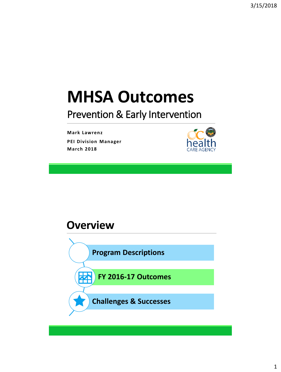# **MHSA Outcomes**

### Prevention & Early Intervention

**Mark Lawrenz PEI Division Manager March 2018**



#### **Overview**

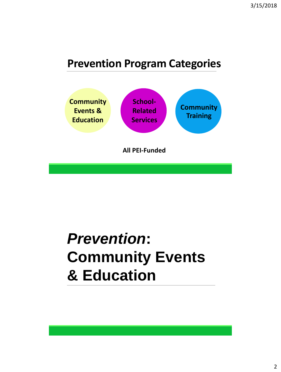### **Prevention Program Categories**



# *Prevention***: Community Events & Education**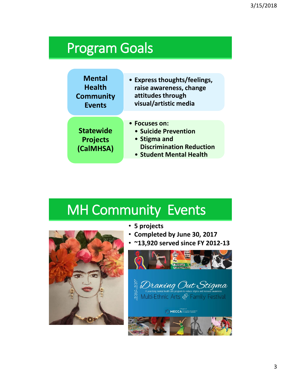## Program Goals

| <b>Mental</b>                                    | • Express thoughts/feelings,                                                                                        |
|--------------------------------------------------|---------------------------------------------------------------------------------------------------------------------|
| <b>Health</b>                                    | raise awareness, change                                                                                             |
| <b>Community</b>                                 | attitudes through                                                                                                   |
| <b>Events</b>                                    | visual/artistic media                                                                                               |
| <b>Statewide</b><br><b>Projects</b><br>(CalMHSA) | • Focuses on:<br>• Suicide Prevention<br>• Stigma and<br><b>Discrimination Reduction</b><br>• Student Mental Health |

## MH Community Events



- **5 projects**
- **Completed by June 30, 2017**
- **~13,920 served since FY 2012-13**

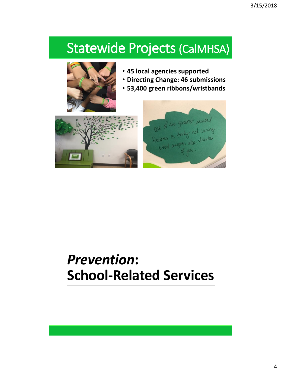## Statewide Projects (CalMHSA)



- **45 local agencies supported**
- **Directing Change: 46 submissions**
- **53,400 green ribbons/wristbands**





## *Prevention***: School-Related Services**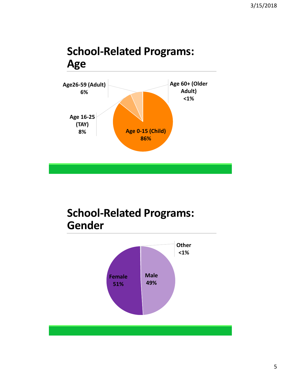### **School-Related Programs: Age**



### **School-Related Programs: Gender**

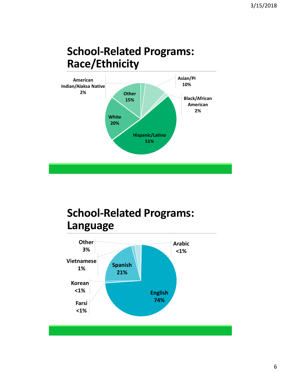### **School-Related Programs: Race/Ethnicity**



### **School-Related Programs: Language**

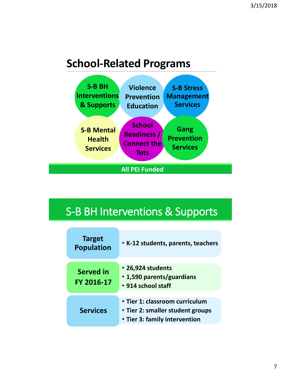### **School-Related Programs**



### S-B BH Interventions & Supports

| <b>Target</b><br><b>Population</b> | • K-12 students, parents, teachers                                                                  |
|------------------------------------|-----------------------------------------------------------------------------------------------------|
| <b>Served in</b><br>FY 2016-17     | • 26,924 students<br>• 1,590 parents/guardians<br>• 914 school staff                                |
| <b>Services</b>                    | • Tier 1: classroom curriculum<br>• Tier 2: smaller student groups<br>• Tier 3: family intervention |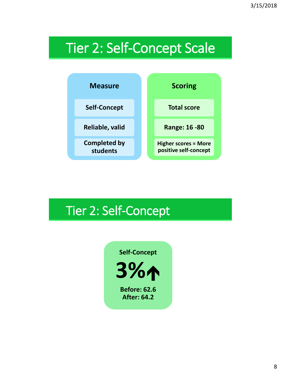# Tier 2: Self-Concept Scale



## Tier 2: Self-Concept

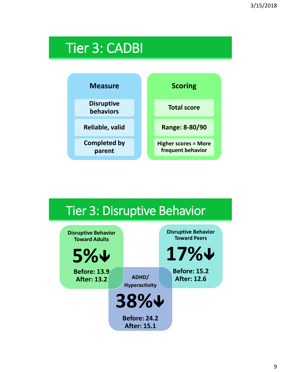# Tier 3: CADBI



#### Tier 3: Disruptive Behavior **Disruptive Behavior Toward Peers 17% Before: 15.2 After: 12.6 ADHD/ Hyperactivity 38% Before: 24.2 After: 15.1 Disruptive Behavior Toward Adults 5% Before: 13.9 After: 13.2**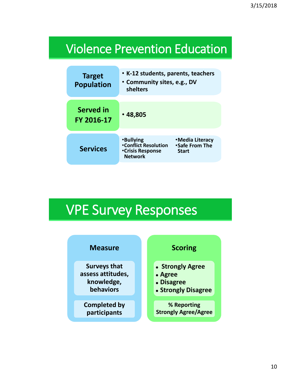## Violence Prevention Education

| <b>Target</b><br><b>Population</b> | • K-12 students, parents, teachers<br>• Community sites, e.g., DV<br>shelters                |                                                         |
|------------------------------------|----------------------------------------------------------------------------------------------|---------------------------------------------------------|
|                                    |                                                                                              |                                                         |
| Served in<br>FY 2016-17            | •48,805                                                                                      |                                                         |
|                                    |                                                                                              |                                                         |
| <b>Services</b>                    | <b>•Bullying</b><br><b>•Conflict Resolution</b><br><b>•Crisis Response</b><br><b>Network</b> | •Media Literacy<br><b>Safe From The</b><br><b>Start</b> |

# VPE Survey Responses

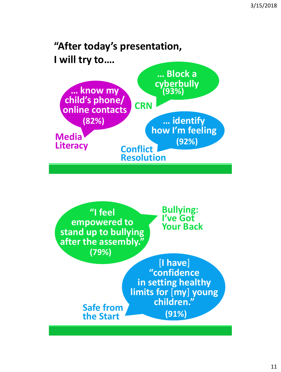### "After today's presentation, **I** will try to....



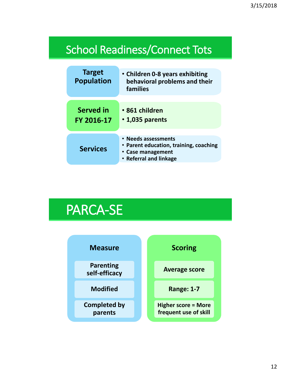### School Readiness/Connect Tots

| <b>Target</b><br><b>Population</b> | • Children 0-8 years exhibiting<br>behavioral problems and their<br>families                                 |
|------------------------------------|--------------------------------------------------------------------------------------------------------------|
|                                    |                                                                                                              |
| <b>Served in</b>                   | • 861 children                                                                                               |
| FY 2016-17                         | • 1,035 parents                                                                                              |
| <b>Services</b>                    | • Needs assessments<br>• Parent education, training, coaching<br>• Case management<br>• Referral and linkage |

## PARCA-SE

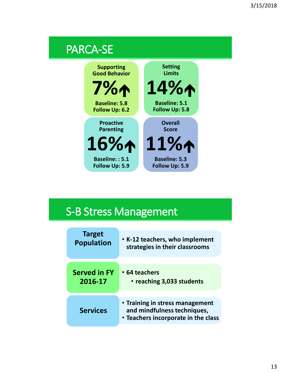

### S-B Stress Management

| <b>Target</b>       | • K-12 teachers, who implement                                                                        |
|---------------------|-------------------------------------------------------------------------------------------------------|
| <b>Population</b>   | strategies in their classrooms                                                                        |
| <b>Served in FY</b> | • 64 teachers                                                                                         |
| 2016-17             | • reaching 3,033 students                                                                             |
| <b>Services</b>     | • Training in stress management<br>and mindfulness techniques,<br>• Teachers incorporate in the class |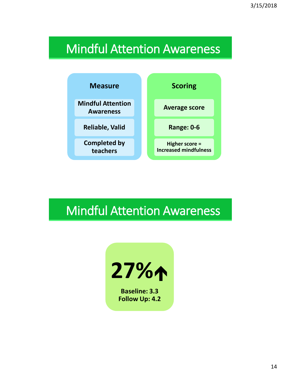## Mindful Attention Awareness



## Mindful Attention Awareness



**Baseline: 3.3 Follow Up: 4.2**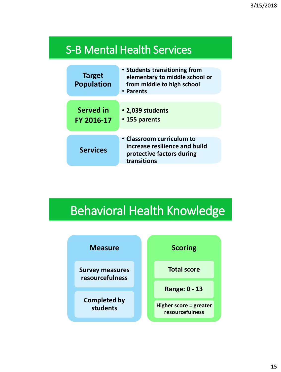### S-B Mental Health Services

| <b>Target</b><br><b>Population</b> | • Students transitioning from<br>elementary to middle school or<br>from middle to high school<br>• Parents |
|------------------------------------|------------------------------------------------------------------------------------------------------------|
| <b>Served in</b><br>FY 2016-17     | • 2,039 students<br>• 155 parents                                                                          |
| <b>Services</b>                    | • Classroom curriculum to<br>increase resilience and build<br>protective factors during<br>transitions     |

## Behavioral Health Knowledge

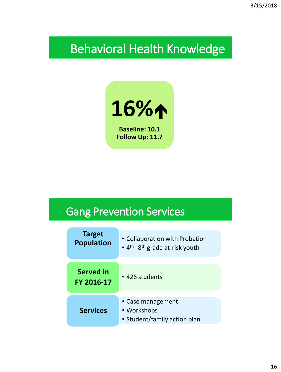## Behavioral Health Knowledge



**Baseline: 10.1 Follow Up: 11.7**

### Gang Prevention Services

| <b>Target</b><br><b>Population</b> | • Collaboration with Probation<br>$\cdot$ 4 <sup>th</sup> - 8 <sup>th</sup> grade at-risk youth |
|------------------------------------|-------------------------------------------------------------------------------------------------|
| <b>Served in</b><br>FY 2016-17     | • 426 students                                                                                  |
| <b>Services</b>                    | • Case management<br>• Workshops<br>• Student/family action plan                                |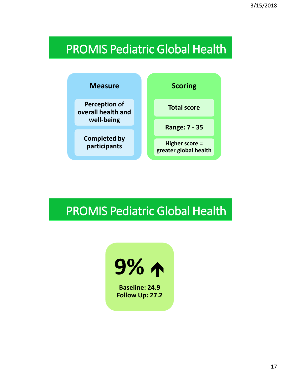## PROMIS Pediatric Global Health



## PROMIS Pediatric Global Health

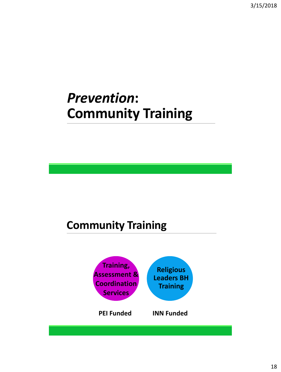## *Prevention***: Community Training**

### **Community Training**

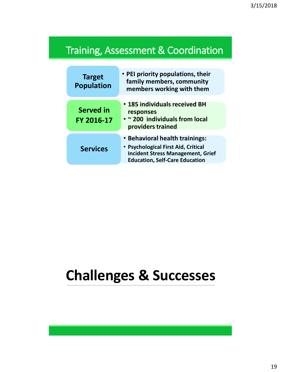### Training, Assessment & Coordination

| <b>Target</b><br><b>Population</b> | • PEI priority populations, their<br>family members, community<br>members working with them                                                                |
|------------------------------------|------------------------------------------------------------------------------------------------------------------------------------------------------------|
| <b>Served in</b><br>FY 2016-17     | • 185 individuals received BH<br>responses<br>• ~ 200 individuals from local<br>providers trained                                                          |
| <b>Services</b>                    | • Behavioral health trainings:<br>• Psychological First Aid, Critical<br><b>Incident Stress Management, Grief</b><br><b>Education, Self-Care Education</b> |

# **Challenges & Successes**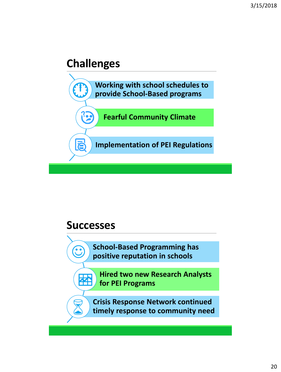### **Challenges**



### **Successes**

 $\mathbf{\hat{C}}$ 

B

器

**School-Based Programming has positive reputation in schools**

**Hired two new Research Analysts for PEI Programs**

**Crisis Response Network continued timely response to community need**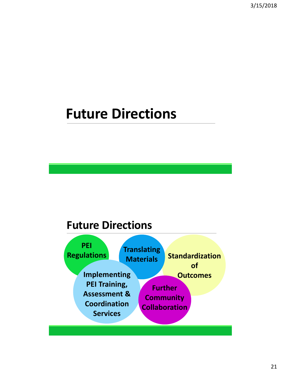# **Future Directions**

### **Future Directions**